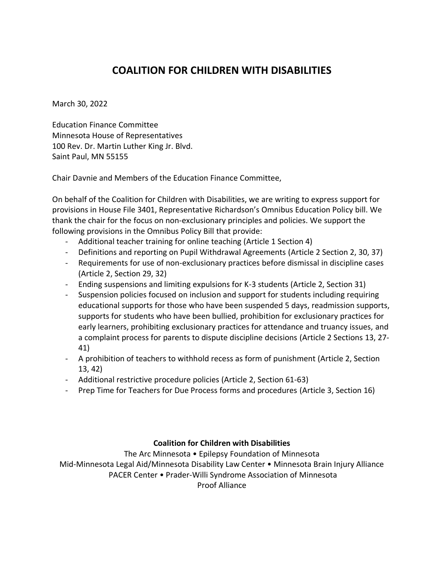# **COALITION FOR CHILDREN WITH DISABILITIES**

March 30, 2022

Education Finance Committee Minnesota House of Representatives 100 Rev. Dr. Martin Luther King Jr. Blvd. Saint Paul, MN 55155

Chair Davnie and Members of the Education Finance Committee,

On behalf of the Coalition for Children with Disabilities, we are writing to express support for provisions in House File 3401, Representative Richardson's Omnibus Education Policy bill. We thank the chair for the focus on non-exclusionary principles and policies. We support the following provisions in the Omnibus Policy Bill that provide:

- Additional teacher training for online teaching (Article 1 Section 4)
- Definitions and reporting on Pupil Withdrawal Agreements (Article 2 Section 2, 30, 37)
- Requirements for use of non-exclusionary practices before dismissal in discipline cases (Article 2, Section 29, 32)
- Ending suspensions and limiting expulsions for K-3 students (Article 2, Section 31)
- Suspension policies focused on inclusion and support for students including requiring educational supports for those who have been suspended 5 days, readmission supports, supports for students who have been bullied, prohibition for exclusionary practices for early learners, prohibiting exclusionary practices for attendance and truancy issues, and a complaint process for parents to dispute discipline decisions (Article 2 Sections 13, 27- 41)
- A prohibition of teachers to withhold recess as form of punishment (Article 2, Section 13, 42)
- Additional restrictive procedure policies (Article 2, Section 61-63)
- Prep Time for Teachers for Due Process forms and procedures (Article 3, Section 16)

#### **Coalition for Children with Disabilities**

The Arc Minnesota • Epilepsy Foundation of Minnesota

Mid-Minnesota Legal Aid/Minnesota Disability Law Center • Minnesota Brain Injury Alliance PACER Center • Prader-Willi Syndrome Association of Minnesota Proof Alliance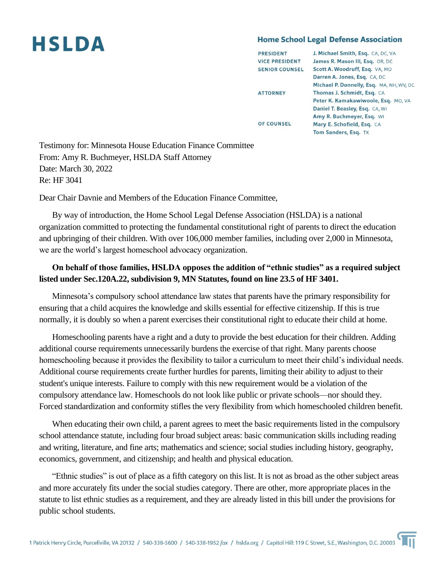# **HSLDA**

#### **Home School Legal Defense Association**

| <b>PRESIDENT</b>      | J. Michael Smith, Esq. CA, DC, VA        |
|-----------------------|------------------------------------------|
| <b>VICE PRESIDENT</b> | James R. Mason III, Esq. OR, DC          |
| <b>SENIOR COUNSEL</b> | Scott A. Woodruff, Esq. VA, MO           |
|                       | Darren A. Jones, Esq. CA, DC             |
|                       | Michael P. Donnelly, Esq. MA, NH, WV, DO |
| <b>ATTORNEY</b>       | Thomas J. Schmidt, Esq. CA               |
|                       | Peter K. Kamakawiwoole, Esq. MO, VA      |
|                       | Daniel T. Beasley, Esq. CA, WI           |
|                       | Amy R. Buchmeyer, Esq. WI                |
| <b>OF COUNSEL</b>     | Mary E. Schofield, Esg. CA               |
|                       | Tom Sanders, Esq. TX                     |
|                       |                                          |

Testimony for: Minnesota House Education Finance Committee From: Amy R. Buchmeyer, HSLDA Staff Attorney Date: March 30, 2022 Re: HF 3041

Dear Chair Davnie and Members of the Education Finance Committee,

By way of introduction, the Home School Legal Defense Association (HSLDA) is a national organization committed to protecting the fundamental constitutional right of parents to direct the education and upbringing of their children. With over 106,000 member families, including over 2,000 in Minnesota, we are the world's largest homeschool advocacy organization.

## **On behalf of those families, HSLDA opposes the addition of "ethnic studies" as a required subject listed under Sec.120A.22, subdivision 9, MN Statutes, found on line 23.5 of HF 3401.**

Minnesota's compulsory school attendance law states that parents have the primary responsibility for ensuring that a child acquires the knowledge and skills essential for effective citizenship. If this is true normally, it is doubly so when a parent exercises their constitutional right to educate their child at home.

Homeschooling parents have a right and a duty to provide the best education for their children. Adding additional course requirements unnecessarily burdens the exercise of that right. Many parents choose homeschooling because it provides the flexibility to tailor a curriculum to meet their child's individual needs. Additional course requirements create further hurdles for parents, limiting their ability to adjust to their student's unique interests. Failure to comply with this new requirement would be a violation of the compulsory attendance law. Homeschools do not look like public or private schools—nor should they. Forced standardization and conformity stifles the very flexibility from which homeschooled children benefit.

When educating their own child, a parent agrees to meet the basic requirements listed in the compulsory school attendance statute, including four broad subject areas: basic communication skills including reading and writing, literature, and fine arts; mathematics and science; social studies including history, geography, economics, government, and citizenship; and health and physical education.

"Ethnic studies" is out of place as a fifth category on this list. It is not as broad as the other subject areas and more accurately fits under the social studies category. There are other, more appropriate places in the statute to list ethnic studies as a requirement, and they are already listed in this bill under the provisions for public school students.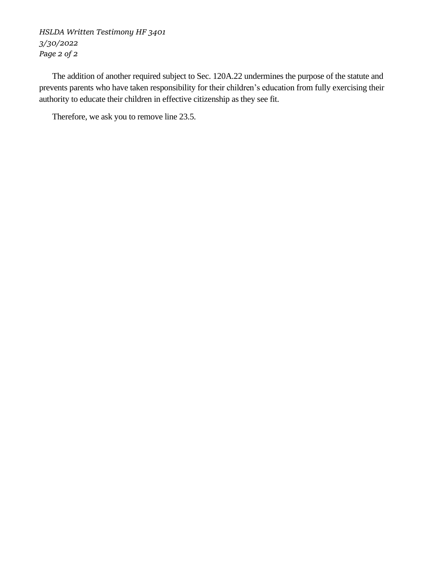*HSLDA Written Testimony HF 3401 3/30/2022 Page 2 of 2*

The addition of another required subject to Sec. 120A.22 undermines the purpose of the statute and prevents parents who have taken responsibility for their children's education from fully exercising their authority to educate their children in effective citizenship as they see fit.

Therefore, we ask you to remove line 23.5.